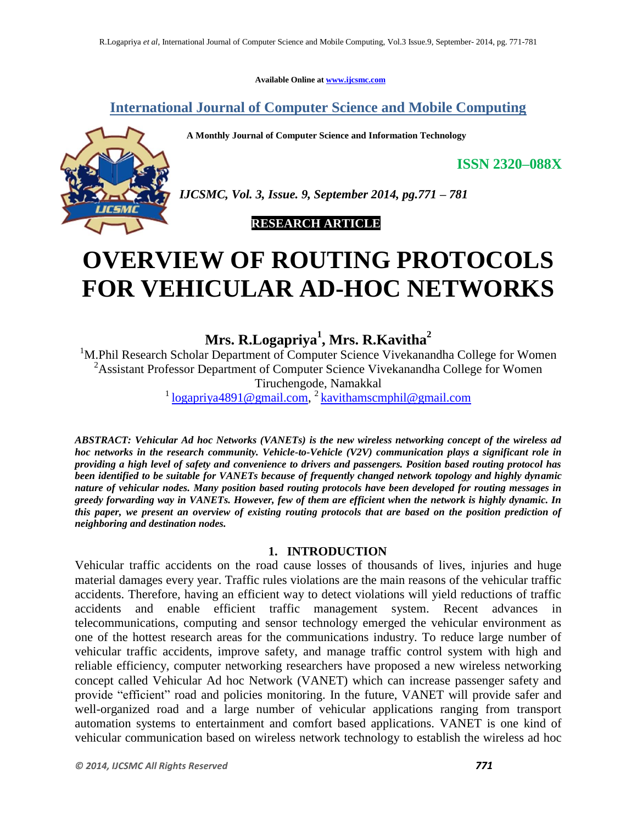**Available Online at www.ijcsmc.com**

**International Journal of Computer Science and Mobile Computing**

 **A Monthly Journal of Computer Science and Information Technology**



*IJCSMC, Vol. 3, Issue. 9, September 2014, pg.771 – 781*

 **RESEARCH ARTICLE**

# **OVERVIEW OF ROUTING PROTOCOLS FOR VEHICULAR AD-HOC NETWORKS**

**Mrs. R.Logapriya<sup>1</sup> , Mrs. R.Kavitha<sup>2</sup>**

<sup>1</sup>M.Phil Research Scholar Department of Computer Science Vivekanandha College for Women <sup>2</sup>Assistant Professor Department of Computer Science Vivekanandha College for Women Tiruchengode, Namakkal <sup>1</sup> logapriya4891@gmail.com,<sup>2</sup> kavithamscmphil@gmail.com

*ABSTRACT: Vehicular Ad hoc Networks (VANETs) is the new wireless networking concept of the wireless ad hoc networks in the research community. Vehicle-to-Vehicle (V2V) communication plays a significant role in providing a high level of safety and convenience to drivers and passengers. Position based routing protocol has been identified to be suitable for VANETs because of frequently changed network topology and highly dynamic nature of vehicular nodes. Many position based routing protocols have been developed for routing messages in greedy forwarding way in VANETs. However, few of them are efficient when the network is highly dynamic. In this paper, we present an overview of existing routing protocols that are based on the position prediction of neighboring and destination nodes.* 

## **1. INTRODUCTION**

Vehicular traffic accidents on the road cause losses of thousands of lives, injuries and huge material damages every year. Traffic rules violations are the main reasons of the vehicular traffic accidents. Therefore, having an efficient way to detect violations will yield reductions of traffic accidents and enable efficient traffic management system. Recent advances in telecommunications, computing and sensor technology emerged the vehicular environment as one of the hottest research areas for the communications industry. To reduce large number of vehicular traffic accidents, improve safety, and manage traffic control system with high and reliable efficiency, computer networking researchers have proposed a new wireless networking concept called Vehicular Ad hoc Network (VANET) which can increase passenger safety and provide "efficient" road and policies monitoring. In the future, VANET will provide safer and well-organized road and a large number of vehicular applications ranging from transport automation systems to entertainment and comfort based applications. VANET is one kind of vehicular communication based on wireless network technology to establish the wireless ad hoc

**ISSN 2320–088X**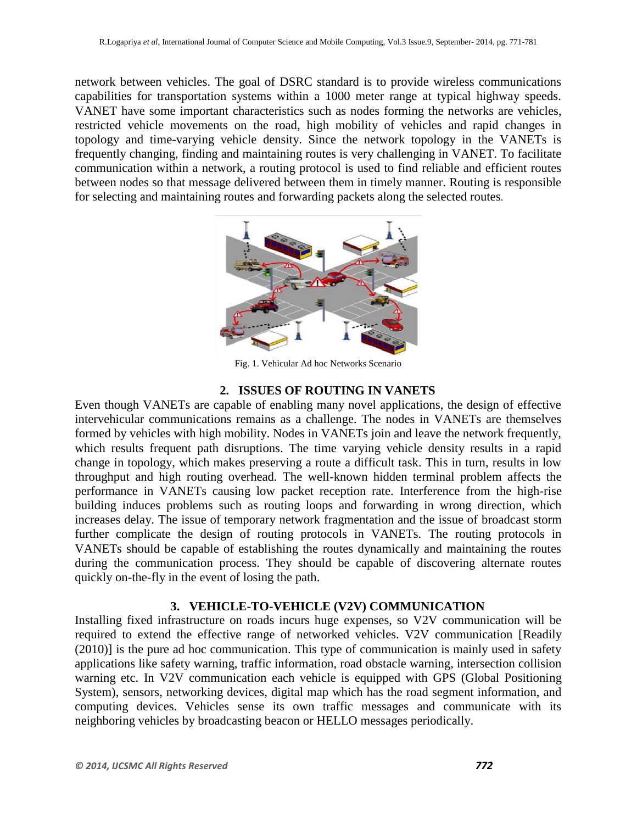network between vehicles. The goal of DSRC standard is to provide wireless communications capabilities for transportation systems within a 1000 meter range at typical highway speeds. VANET have some important characteristics such as nodes forming the networks are vehicles, restricted vehicle movements on the road, high mobility of vehicles and rapid changes in topology and time-varying vehicle density. Since the network topology in the VANETs is frequently changing, finding and maintaining routes is very challenging in VANET. To facilitate communication within a network, a routing protocol is used to find reliable and efficient routes between nodes so that message delivered between them in timely manner. Routing is responsible for selecting and maintaining routes and forwarding packets along the selected routes.



Fig. 1. Vehicular Ad hoc Networks Scenario

## **2. ISSUES OF ROUTING IN VANETS**

Even though VANETs are capable of enabling many novel applications, the design of effective intervehicular communications remains as a challenge. The nodes in VANETs are themselves formed by vehicles with high mobility. Nodes in VANETs join and leave the network frequently, which results frequent path disruptions. The time varying vehicle density results in a rapid change in topology, which makes preserving a route a difficult task. This in turn, results in low throughput and high routing overhead. The well-known hidden terminal problem affects the performance in VANETs causing low packet reception rate. Interference from the high-rise building induces problems such as routing loops and forwarding in wrong direction, which increases delay. The issue of temporary network fragmentation and the issue of broadcast storm further complicate the design of routing protocols in VANETs. The routing protocols in VANETs should be capable of establishing the routes dynamically and maintaining the routes during the communication process. They should be capable of discovering alternate routes quickly on-the-fly in the event of losing the path.

## **3. VEHICLE-TO-VEHICLE (V2V) COMMUNICATION**

Installing fixed infrastructure on roads incurs huge expenses, so V2V communication will be required to extend the effective range of networked vehicles. V2V communication [Readily  $(2010)$ ] is the pure ad hoc communication. This type of communication is mainly used in safety applications like safety warning, traffic information, road obstacle warning, intersection collision warning etc. In V2V communication each vehicle is equipped with GPS (Global Positioning System), sensors, networking devices, digital map which has the road segment information, and computing devices. Vehicles sense its own traffic messages and communicate with its neighboring vehicles by broadcasting beacon or HELLO messages periodically.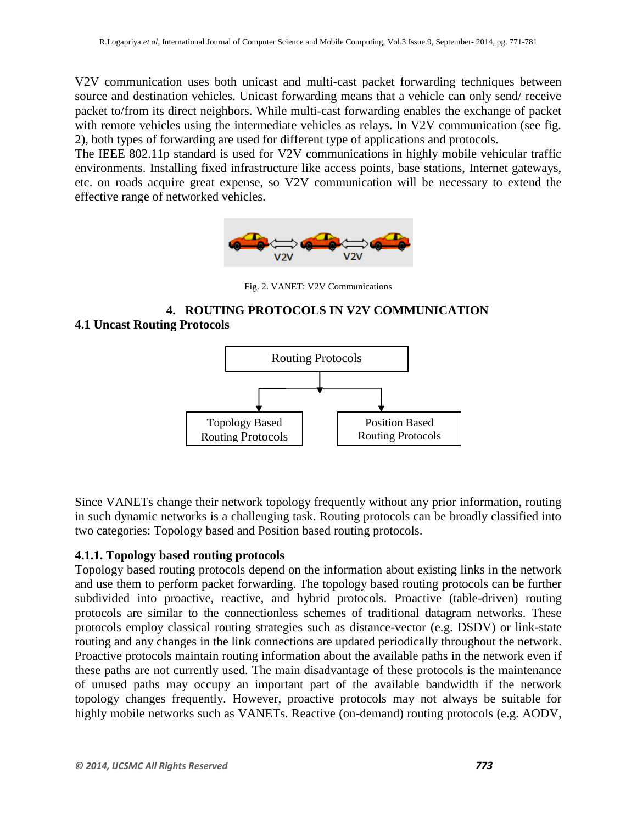V2V communication uses both unicast and multi-cast packet forwarding techniques between source and destination vehicles. Unicast forwarding means that a vehicle can only send/ receive packet to/from its direct neighbors. While multi-cast forwarding enables the exchange of packet with remote vehicles using the intermediate vehicles as relays. In V2V communication (see fig. 2), both types of forwarding are used for different type of applications and protocols.

The IEEE 802.11p standard is used for V2V communications in highly mobile vehicular traffic environments. Installing fixed infrastructure like access points, base stations, Internet gateways, etc. on roads acquire great expense, so V2V communication will be necessary to extend the effective range of networked vehicles.



Fig. 2. VANET: V2V Communications

# **4. ROUTING PROTOCOLS IN V2V COMMUNICATION 4.1 Uncast Routing Protocols**



Since VANETs change their network topology frequently without any prior information, routing in such dynamic networks is a challenging task. Routing protocols can be broadly classified into two categories: Topology based and Position based routing protocols.

## **4.1.1. Topology based routing protocols**

Topology based routing protocols depend on the information about existing links in the network and use them to perform packet forwarding. The topology based routing protocols can be further subdivided into proactive, reactive, and hybrid protocols. Proactive (table-driven) routing protocols are similar to the connectionless schemes of traditional datagram networks. These protocols employ classical routing strategies such as distance-vector (e.g. DSDV) or link-state routing and any changes in the link connections are updated periodically throughout the network. Proactive protocols maintain routing information about the available paths in the network even if these paths are not currently used. The main disadvantage of these protocols is the maintenance of unused paths may occupy an important part of the available bandwidth if the network topology changes frequently. However, proactive protocols may not always be suitable for highly mobile networks such as VANETs. Reactive (on-demand) routing protocols (e.g. AODV,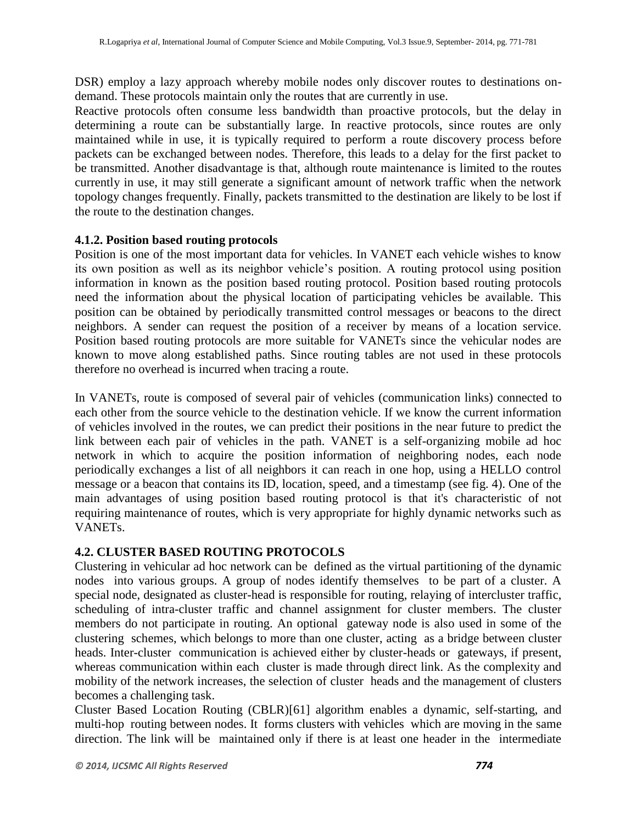DSR) employ a lazy approach whereby mobile nodes only discover routes to destinations ondemand. These protocols maintain only the routes that are currently in use.

Reactive protocols often consume less bandwidth than proactive protocols, but the delay in determining a route can be substantially large. In reactive protocols, since routes are only maintained while in use, it is typically required to perform a route discovery process before packets can be exchanged between nodes. Therefore, this leads to a delay for the first packet to be transmitted. Another disadvantage is that, although route maintenance is limited to the routes currently in use, it may still generate a significant amount of network traffic when the network topology changes frequently. Finally, packets transmitted to the destination are likely to be lost if the route to the destination changes.

## **4.1.2. Position based routing protocols**

Position is one of the most important data for vehicles. In VANET each vehicle wishes to know its own position as well as its neighbor vehicle's position. A routing protocol using position information in known as the position based routing protocol. Position based routing protocols need the information about the physical location of participating vehicles be available. This position can be obtained by periodically transmitted control messages or beacons to the direct neighbors. A sender can request the position of a receiver by means of a location service. Position based routing protocols are more suitable for VANETs since the vehicular nodes are known to move along established paths. Since routing tables are not used in these protocols therefore no overhead is incurred when tracing a route.

In VANETs, route is composed of several pair of vehicles (communication links) connected to each other from the source vehicle to the destination vehicle. If we know the current information of vehicles involved in the routes, we can predict their positions in the near future to predict the link between each pair of vehicles in the path. VANET is a self-organizing mobile ad hoc network in which to acquire the position information of neighboring nodes, each node periodically exchanges a list of all neighbors it can reach in one hop, using a HELLO control message or a beacon that contains its ID, location, speed, and a timestamp (see fig. 4). One of the main advantages of using position based routing protocol is that it's characteristic of not requiring maintenance of routes, which is very appropriate for highly dynamic networks such as VANETs.

# **4.2. CLUSTER BASED ROUTING PROTOCOLS**

Clustering in vehicular ad hoc network can be defined as the virtual partitioning of the dynamic nodes into various groups. A group of nodes identify themselves to be part of a cluster. A special node, designated as cluster-head is responsible for routing, relaying of intercluster traffic, scheduling of intra-cluster traffic and channel assignment for cluster members. The cluster members do not participate in routing. An optional gateway node is also used in some of the clustering schemes, which belongs to more than one cluster, acting as a bridge between cluster heads. Inter-cluster communication is achieved either by cluster-heads or gateways, if present, whereas communication within each cluster is made through direct link. As the complexity and mobility of the network increases, the selection of cluster heads and the management of clusters becomes a challenging task.

Cluster Based Location Routing (CBLR)[61] algorithm enables a dynamic, self-starting, and multi-hop routing between nodes. It forms clusters with vehicles which are moving in the same direction. The link will be maintained only if there is at least one header in the intermediate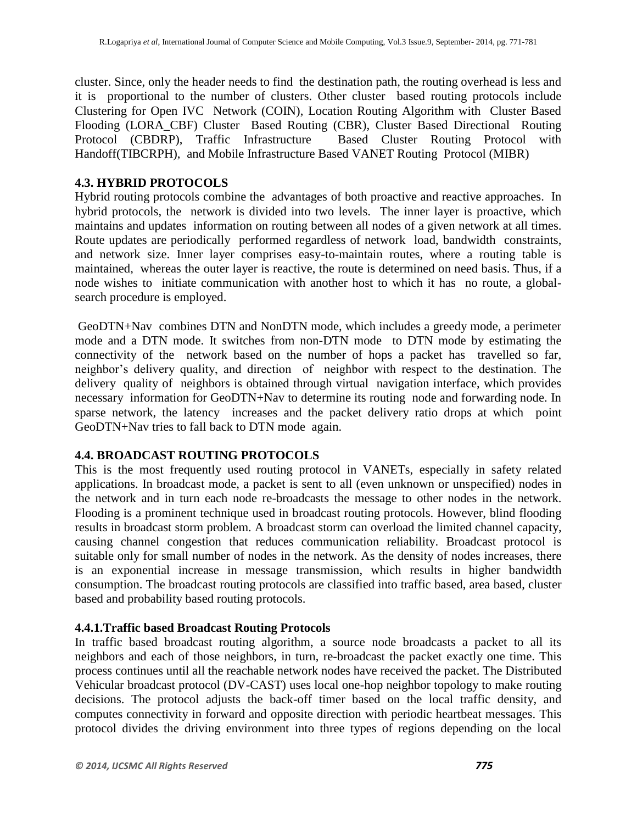cluster. Since, only the header needs to find the destination path, the routing overhead is less and it is proportional to the number of clusters. Other cluster based routing protocols include Clustering for Open IVC Network (COIN), Location Routing Algorithm with Cluster Based Flooding (LORA\_CBF) Cluster Based Routing (CBR), Cluster Based Directional Routing Protocol (CBDRP), Traffic Infrastructure Based Cluster Routing Protocol with Handoff(TIBCRPH), and Mobile Infrastructure Based VANET Routing Protocol (MIBR)

## **4.3. HYBRID PROTOCOLS**

Hybrid routing protocols combine the advantages of both proactive and reactive approaches. In hybrid protocols, the network is divided into two levels. The inner layer is proactive, which maintains and updates information on routing between all nodes of a given network at all times. Route updates are periodically performed regardless of network load, bandwidth constraints, and network size. Inner layer comprises easy-to-maintain routes, where a routing table is maintained, whereas the outer layer is reactive, the route is determined on need basis. Thus, if a node wishes to initiate communication with another host to which it has no route, a globalsearch procedure is employed.

GeoDTN+Nav combines DTN and NonDTN mode, which includes a greedy mode, a perimeter mode and a DTN mode. It switches from non-DTN mode to DTN mode by estimating the connectivity of the network based on the number of hops a packet has travelled so far, neighbor's delivery quality, and direction of neighbor with respect to the destination. The delivery quality of neighbors is obtained through virtual navigation interface, which provides necessary information for GeoDTN+Nav to determine its routing node and forwarding node. In sparse network, the latency increases and the packet delivery ratio drops at which point GeoDTN+Nav tries to fall back to DTN mode again.

## **4.4. BROADCAST ROUTING PROTOCOLS**

This is the most frequently used routing protocol in VANETs, especially in safety related applications. In broadcast mode, a packet is sent to all (even unknown or unspecified) nodes in the network and in turn each node re-broadcasts the message to other nodes in the network. Flooding is a prominent technique used in broadcast routing protocols. However, blind flooding results in broadcast storm problem. A broadcast storm can overload the limited channel capacity, causing channel congestion that reduces communication reliability. Broadcast protocol is suitable only for small number of nodes in the network. As the density of nodes increases, there is an exponential increase in message transmission, which results in higher bandwidth consumption. The broadcast routing protocols are classified into traffic based, area based, cluster based and probability based routing protocols.

## **4.4.1.Traffic based Broadcast Routing Protocols**

In traffic based broadcast routing algorithm, a source node broadcasts a packet to all its neighbors and each of those neighbors, in turn, re-broadcast the packet exactly one time. This process continues until all the reachable network nodes have received the packet. The Distributed Vehicular broadcast protocol (DV-CAST) uses local one-hop neighbor topology to make routing decisions. The protocol adjusts the back-off timer based on the local traffic density, and computes connectivity in forward and opposite direction with periodic heartbeat messages. This protocol divides the driving environment into three types of regions depending on the local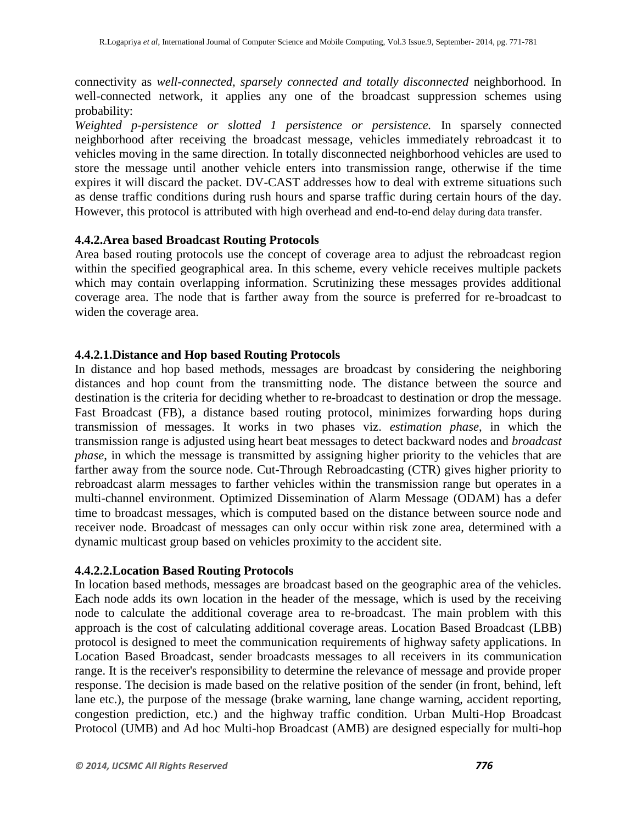connectivity as *well-connected, sparsely connected and totally disconnected* neighborhood. In well-connected network, it applies any one of the broadcast suppression schemes using probability:

*Weighted p-persistence or slotted 1 persistence or persistence.* In sparsely connected neighborhood after receiving the broadcast message, vehicles immediately rebroadcast it to vehicles moving in the same direction. In totally disconnected neighborhood vehicles are used to store the message until another vehicle enters into transmission range, otherwise if the time expires it will discard the packet. DV-CAST addresses how to deal with extreme situations such as dense traffic conditions during rush hours and sparse traffic during certain hours of the day. However, this protocol is attributed with high overhead and end-to-end delay during data transfer.

## **4.4.2.Area based Broadcast Routing Protocols**

Area based routing protocols use the concept of coverage area to adjust the rebroadcast region within the specified geographical area. In this scheme, every vehicle receives multiple packets which may contain overlapping information. Scrutinizing these messages provides additional coverage area. The node that is farther away from the source is preferred for re-broadcast to widen the coverage area.

#### **4.4.2.1.Distance and Hop based Routing Protocols**

In distance and hop based methods, messages are broadcast by considering the neighboring distances and hop count from the transmitting node. The distance between the source and destination is the criteria for deciding whether to re-broadcast to destination or drop the message. Fast Broadcast (FB), a distance based routing protocol, minimizes forwarding hops during transmission of messages. It works in two phases viz. *estimation phase*, in which the transmission range is adjusted using heart beat messages to detect backward nodes and *broadcast phase*, in which the message is transmitted by assigning higher priority to the vehicles that are farther away from the source node. Cut-Through Rebroadcasting (CTR) gives higher priority to rebroadcast alarm messages to farther vehicles within the transmission range but operates in a multi-channel environment. Optimized Dissemination of Alarm Message (ODAM) has a defer time to broadcast messages, which is computed based on the distance between source node and receiver node. Broadcast of messages can only occur within risk zone area, determined with a dynamic multicast group based on vehicles proximity to the accident site.

## **4.4.2.2.Location Based Routing Protocols**

In location based methods, messages are broadcast based on the geographic area of the vehicles. Each node adds its own location in the header of the message, which is used by the receiving node to calculate the additional coverage area to re-broadcast. The main problem with this approach is the cost of calculating additional coverage areas. Location Based Broadcast (LBB) protocol is designed to meet the communication requirements of highway safety applications. In Location Based Broadcast, sender broadcasts messages to all receivers in its communication range. It is the receiver's responsibility to determine the relevance of message and provide proper response. The decision is made based on the relative position of the sender (in front, behind, left lane etc.), the purpose of the message (brake warning, lane change warning, accident reporting, congestion prediction, etc.) and the highway traffic condition. Urban Multi-Hop Broadcast Protocol (UMB) and Ad hoc Multi-hop Broadcast (AMB) are designed especially for multi-hop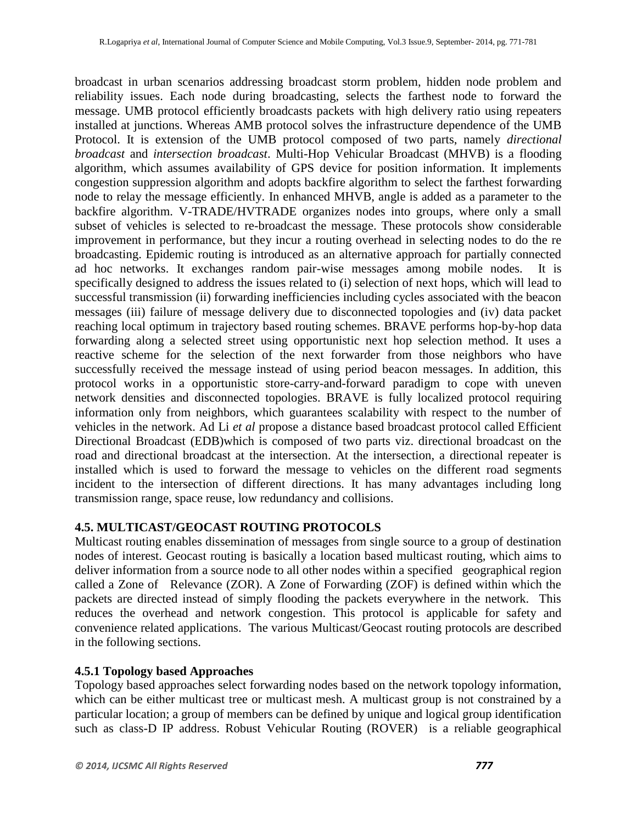broadcast in urban scenarios addressing broadcast storm problem, hidden node problem and reliability issues. Each node during broadcasting, selects the farthest node to forward the message. UMB protocol efficiently broadcasts packets with high delivery ratio using repeaters installed at junctions. Whereas AMB protocol solves the infrastructure dependence of the UMB Protocol. It is extension of the UMB protocol composed of two parts, namely *directional broadcast* and *intersection broadcast*. Multi-Hop Vehicular Broadcast (MHVB) is a flooding algorithm, which assumes availability of GPS device for position information. It implements congestion suppression algorithm and adopts backfire algorithm to select the farthest forwarding node to relay the message efficiently. In enhanced MHVB, angle is added as a parameter to the backfire algorithm. V-TRADE/HVTRADE organizes nodes into groups, where only a small subset of vehicles is selected to re-broadcast the message. These protocols show considerable improvement in performance, but they incur a routing overhead in selecting nodes to do the re broadcasting. Epidemic routing is introduced as an alternative approach for partially connected ad hoc networks. It exchanges random pair-wise messages among mobile nodes. It is specifically designed to address the issues related to (i) selection of next hops, which will lead to successful transmission (ii) forwarding inefficiencies including cycles associated with the beacon messages (iii) failure of message delivery due to disconnected topologies and (iv) data packet reaching local optimum in trajectory based routing schemes. BRAVE performs hop-by-hop data forwarding along a selected street using opportunistic next hop selection method. It uses a reactive scheme for the selection of the next forwarder from those neighbors who have successfully received the message instead of using period beacon messages. In addition, this protocol works in a opportunistic store-carry-and-forward paradigm to cope with uneven network densities and disconnected topologies. BRAVE is fully localized protocol requiring information only from neighbors, which guarantees scalability with respect to the number of vehicles in the network. Ad Li *et al* propose a distance based broadcast protocol called Efficient Directional Broadcast (EDB)which is composed of two parts viz. directional broadcast on the road and directional broadcast at the intersection. At the intersection, a directional repeater is installed which is used to forward the message to vehicles on the different road segments incident to the intersection of different directions. It has many advantages including long transmission range, space reuse, low redundancy and collisions.

## **4.5. MULTICAST/GEOCAST ROUTING PROTOCOLS**

Multicast routing enables dissemination of messages from single source to a group of destination nodes of interest. Geocast routing is basically a location based multicast routing, which aims to deliver information from a source node to all other nodes within a specified geographical region called a Zone of Relevance (ZOR). A Zone of Forwarding (ZOF) is defined within which the packets are directed instead of simply flooding the packets everywhere in the network. This reduces the overhead and network congestion. This protocol is applicable for safety and convenience related applications. The various Multicast/Geocast routing protocols are described in the following sections.

## **4.5.1 Topology based Approaches**

Topology based approaches select forwarding nodes based on the network topology information, which can be either multicast tree or multicast mesh. A multicast group is not constrained by a particular location; a group of members can be defined by unique and logical group identification such as class-D IP address. Robust Vehicular Routing (ROVER) is a reliable geographical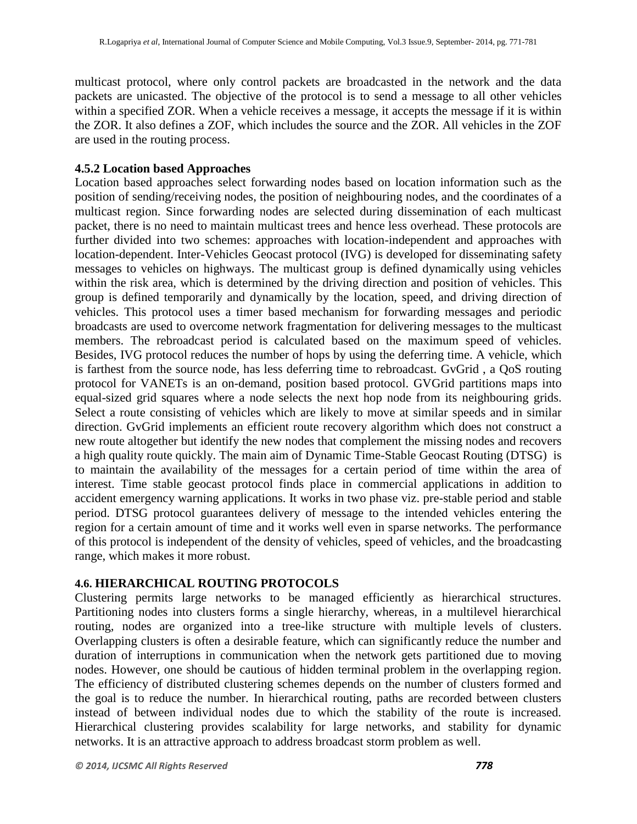multicast protocol, where only control packets are broadcasted in the network and the data packets are unicasted. The objective of the protocol is to send a message to all other vehicles within a specified ZOR. When a vehicle receives a message, it accepts the message if it is within the ZOR. It also defines a ZOF, which includes the source and the ZOR. All vehicles in the ZOF are used in the routing process.

#### **4.5.2 Location based Approaches**

Location based approaches select forwarding nodes based on location information such as the position of sending/receiving nodes, the position of neighbouring nodes, and the coordinates of a multicast region. Since forwarding nodes are selected during dissemination of each multicast packet, there is no need to maintain multicast trees and hence less overhead. These protocols are further divided into two schemes: approaches with location-independent and approaches with location-dependent. Inter-Vehicles Geocast protocol (IVG) is developed for disseminating safety messages to vehicles on highways. The multicast group is defined dynamically using vehicles within the risk area, which is determined by the driving direction and position of vehicles. This group is defined temporarily and dynamically by the location, speed, and driving direction of vehicles. This protocol uses a timer based mechanism for forwarding messages and periodic broadcasts are used to overcome network fragmentation for delivering messages to the multicast members. The rebroadcast period is calculated based on the maximum speed of vehicles. Besides, IVG protocol reduces the number of hops by using the deferring time. A vehicle, which is farthest from the source node, has less deferring time to rebroadcast. GvGrid , a QoS routing protocol for VANETs is an on-demand, position based protocol. GVGrid partitions maps into equal-sized grid squares where a node selects the next hop node from its neighbouring grids. Select a route consisting of vehicles which are likely to move at similar speeds and in similar direction. GvGrid implements an efficient route recovery algorithm which does not construct a new route altogether but identify the new nodes that complement the missing nodes and recovers a high quality route quickly. The main aim of Dynamic Time-Stable Geocast Routing (DTSG) is to maintain the availability of the messages for a certain period of time within the area of interest. Time stable geocast protocol finds place in commercial applications in addition to accident emergency warning applications. It works in two phase viz. pre-stable period and stable period. DTSG protocol guarantees delivery of message to the intended vehicles entering the region for a certain amount of time and it works well even in sparse networks. The performance of this protocol is independent of the density of vehicles, speed of vehicles, and the broadcasting range, which makes it more robust.

## **4.6. HIERARCHICAL ROUTING PROTOCOLS**

Clustering permits large networks to be managed efficiently as hierarchical structures. Partitioning nodes into clusters forms a single hierarchy, whereas, in a multilevel hierarchical routing, nodes are organized into a tree-like structure with multiple levels of clusters. Overlapping clusters is often a desirable feature, which can significantly reduce the number and duration of interruptions in communication when the network gets partitioned due to moving nodes. However, one should be cautious of hidden terminal problem in the overlapping region. The efficiency of distributed clustering schemes depends on the number of clusters formed and the goal is to reduce the number. In hierarchical routing, paths are recorded between clusters instead of between individual nodes due to which the stability of the route is increased. Hierarchical clustering provides scalability for large networks, and stability for dynamic networks. It is an attractive approach to address broadcast storm problem as well.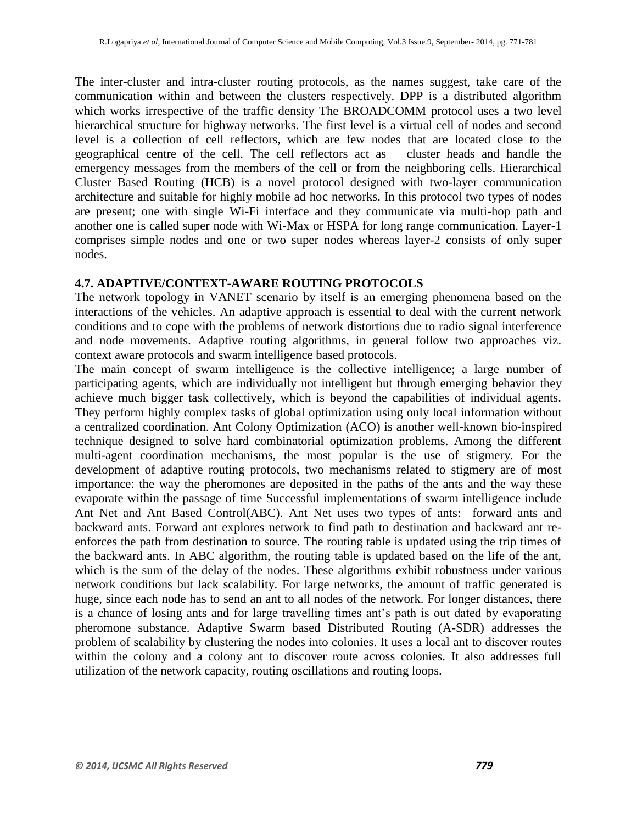The inter-cluster and intra-cluster routing protocols, as the names suggest, take care of the communication within and between the clusters respectively. DPP is a distributed algorithm which works irrespective of the traffic density The BROADCOMM protocol uses a two level hierarchical structure for highway networks. The first level is a virtual cell of nodes and second level is a collection of cell reflectors, which are few nodes that are located close to the geographical centre of the cell. The cell reflectors act as cluster heads and handle the emergency messages from the members of the cell or from the neighboring cells. Hierarchical Cluster Based Routing (HCB) is a novel protocol designed with two-layer communication architecture and suitable for highly mobile ad hoc networks. In this protocol two types of nodes are present; one with single Wi-Fi interface and they communicate via multi-hop path and another one is called super node with Wi-Max or HSPA for long range communication. Layer-1 comprises simple nodes and one or two super nodes whereas layer-2 consists of only super nodes.

#### **4.7. ADAPTIVE/CONTEXT-AWARE ROUTING PROTOCOLS**

The network topology in VANET scenario by itself is an emerging phenomena based on the interactions of the vehicles. An adaptive approach is essential to deal with the current network conditions and to cope with the problems of network distortions due to radio signal interference and node movements. Adaptive routing algorithms, in general follow two approaches viz. context aware protocols and swarm intelligence based protocols.

The main concept of swarm intelligence is the collective intelligence; a large number of participating agents, which are individually not intelligent but through emerging behavior they achieve much bigger task collectively, which is beyond the capabilities of individual agents. They perform highly complex tasks of global optimization using only local information without a centralized coordination. Ant Colony Optimization (ACO) is another well-known bio-inspired technique designed to solve hard combinatorial optimization problems. Among the different multi-agent coordination mechanisms, the most popular is the use of stigmery. For the development of adaptive routing protocols, two mechanisms related to stigmery are of most importance: the way the pheromones are deposited in the paths of the ants and the way these evaporate within the passage of time Successful implementations of swarm intelligence include Ant Net and Ant Based Control(ABC). Ant Net uses two types of ants: forward ants and backward ants. Forward ant explores network to find path to destination and backward ant reenforces the path from destination to source. The routing table is updated using the trip times of the backward ants. In ABC algorithm, the routing table is updated based on the life of the ant, which is the sum of the delay of the nodes. These algorithms exhibit robustness under various network conditions but lack scalability. For large networks, the amount of traffic generated is huge, since each node has to send an ant to all nodes of the network. For longer distances, there is a chance of losing ants and for large travelling times ant's path is out dated by evaporating pheromone substance. Adaptive Swarm based Distributed Routing (A-SDR) addresses the problem of scalability by clustering the nodes into colonies. It uses a local ant to discover routes within the colony and a colony ant to discover route across colonies. It also addresses full utilization of the network capacity, routing oscillations and routing loops.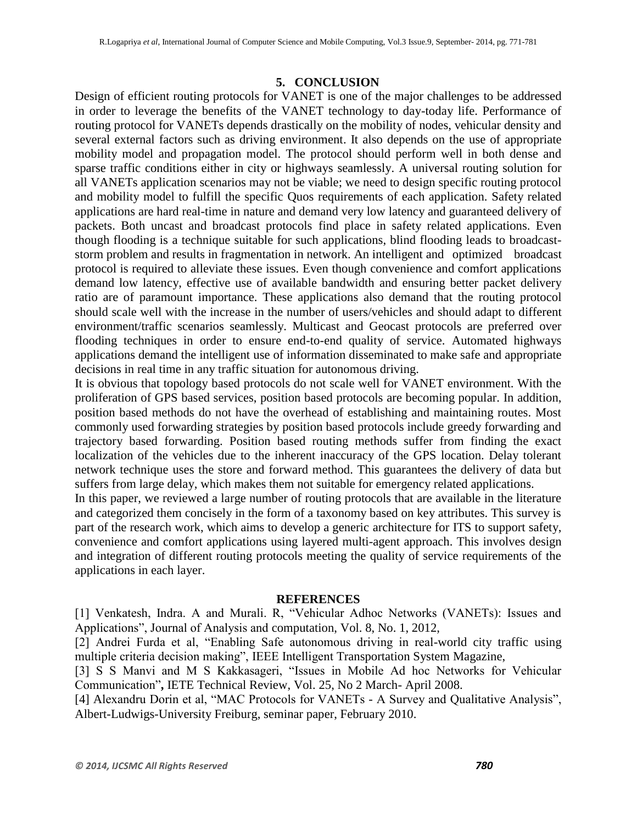#### **5. CONCLUSION**

Design of efficient routing protocols for VANET is one of the major challenges to be addressed in order to leverage the benefits of the VANET technology to day-today life. Performance of routing protocol for VANETs depends drastically on the mobility of nodes, vehicular density and several external factors such as driving environment. It also depends on the use of appropriate mobility model and propagation model. The protocol should perform well in both dense and sparse traffic conditions either in city or highways seamlessly. A universal routing solution for all VANETs application scenarios may not be viable; we need to design specific routing protocol and mobility model to fulfill the specific Quos requirements of each application. Safety related applications are hard real-time in nature and demand very low latency and guaranteed delivery of packets. Both uncast and broadcast protocols find place in safety related applications. Even though flooding is a technique suitable for such applications, blind flooding leads to broadcaststorm problem and results in fragmentation in network. An intelligent and optimized broadcast protocol is required to alleviate these issues. Even though convenience and comfort applications demand low latency, effective use of available bandwidth and ensuring better packet delivery ratio are of paramount importance. These applications also demand that the routing protocol should scale well with the increase in the number of users/vehicles and should adapt to different environment/traffic scenarios seamlessly. Multicast and Geocast protocols are preferred over flooding techniques in order to ensure end-to-end quality of service. Automated highways applications demand the intelligent use of information disseminated to make safe and appropriate decisions in real time in any traffic situation for autonomous driving.

It is obvious that topology based protocols do not scale well for VANET environment. With the proliferation of GPS based services, position based protocols are becoming popular. In addition, position based methods do not have the overhead of establishing and maintaining routes. Most commonly used forwarding strategies by position based protocols include greedy forwarding and trajectory based forwarding. Position based routing methods suffer from finding the exact localization of the vehicles due to the inherent inaccuracy of the GPS location. Delay tolerant network technique uses the store and forward method. This guarantees the delivery of data but suffers from large delay, which makes them not suitable for emergency related applications.

In this paper, we reviewed a large number of routing protocols that are available in the literature and categorized them concisely in the form of a taxonomy based on key attributes. This survey is part of the research work, which aims to develop a generic architecture for ITS to support safety, convenience and comfort applications using layered multi-agent approach. This involves design and integration of different routing protocols meeting the quality of service requirements of the applications in each layer.

#### **REFERENCES**

[1] Venkatesh, Indra. A and Murali. R, "Vehicular Adhoc Networks (VANETs): Issues and Applications", Journal of Analysis and computation, Vol. 8, No. 1, 2012,

[2] Andrei Furda et al, "Enabling Safe autonomous driving in real-world city traffic using multiple criteria decision making", IEEE Intelligent Transportation System Magazine,

[3] S S Manvi and M S Kakkasageri, "Issues in Mobile Ad hoc Networks for Vehicular Communication"**,** IETE Technical Review, Vol. 25, No 2 March- April 2008.

[4] Alexandru Dorin et al, "MAC Protocols for VANETs - A Survey and Qualitative Analysis", Albert-Ludwigs-University Freiburg, seminar paper, February 2010.